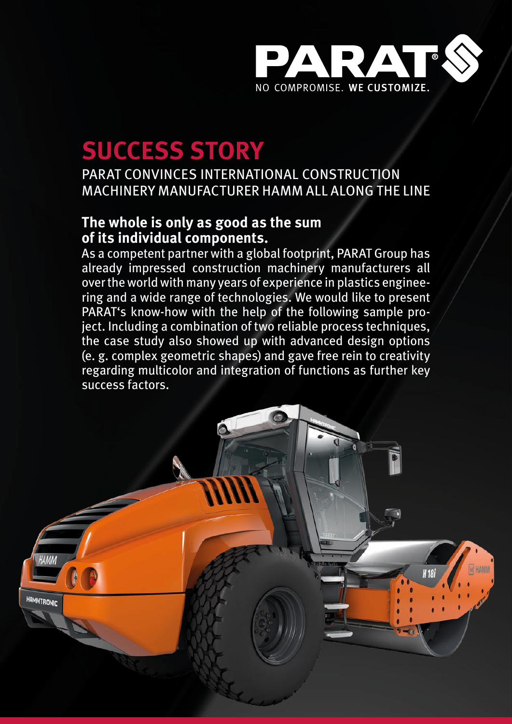

## **SUCCESS STORY**

PARAT CONVINCES INTERNATIONAL CONSTRUCTION MACHINERY MANUFACTURER HAMM ALL ALONG THE LINE

## **The whole is only as good as the sum of its individual components.**

As a competent partner with a global footprint, PARAT Group has already impressed construction machinery manufacturers all over the world with many years of experience in plastics engineering and a wide range of technologies. We would like to present PARAT's know-how with the help of the following sample project. Including a combination of two reliable process techniques, the case study also showed up with advanced design options (e. g. complex geometric shapes) and gave free rein to creativity regarding multicolor and integration of functions as further key success factors.